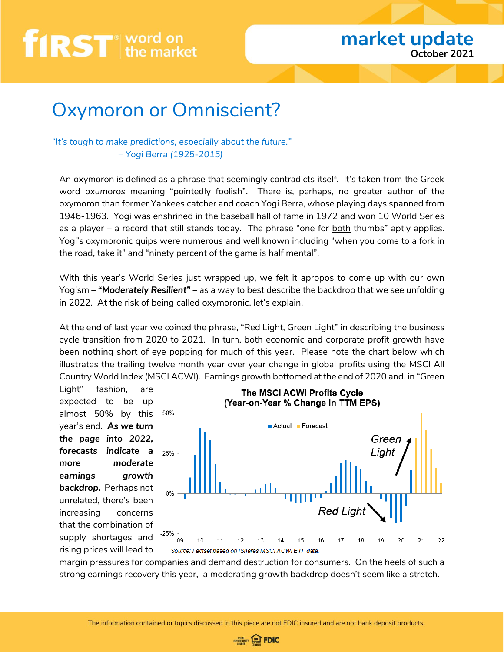### Oxymoron or Omniscient?

#### *"It's tough to make predictions, especially about the future." – Yogi Berra (1925-2015)*

An oxymoron is defined as a phrase that seemingly contradicts itself. It's taken from the Greek word *oxumoros* meaning "pointedly foolish". There is, perhaps, no greater author of the oxymoron than former Yankees catcher and coach Yogi Berra, whose playing days spanned from 1946-1963. Yogi was enshrined in the baseball hall of fame in 1972 and won 10 World Series as a player – a record that still stands today. The phrase "one for both thumbs" aptly applies. Yogi's oxymoronic quips were numerous and well known including "when you come to a fork in the road, take it" and "ninety percent of the game is half mental".

With this year's World Series just wrapped up, we felt it apropos to come up with our own Yogism – *"Moderately Resilient"* – as a way to best describe the backdrop that we see unfolding in 2022. At the risk of being called oxymoronic, let's explain.

At the end of last year we coined the phrase, "Red Light, Green Light" in describing the business cycle transition from 2020 to 2021. In turn, both economic and corporate profit growth have been nothing short of eye popping for much of this year. Please note the chart below which illustrates the trailing twelve month year over year change in global profits using the MSCI All Country World Index (MSCI ACWI). Earnings growth bottomed at the end of 2020 and, in "Green

Light" fashion, are expected to be up almost 50% by this year's end. *As we turn the page into 2022, forecasts indicate a more moderate earnings growth backdrop.* Perhaps not unrelated, there's been increasing concerns that the combination of supply shortages and

rising prices will lead to



margin pressures for companies and demand destruction for consumers. On the heels of such a strong earnings recovery this year, a moderating growth backdrop doesn't seem like a stretch.

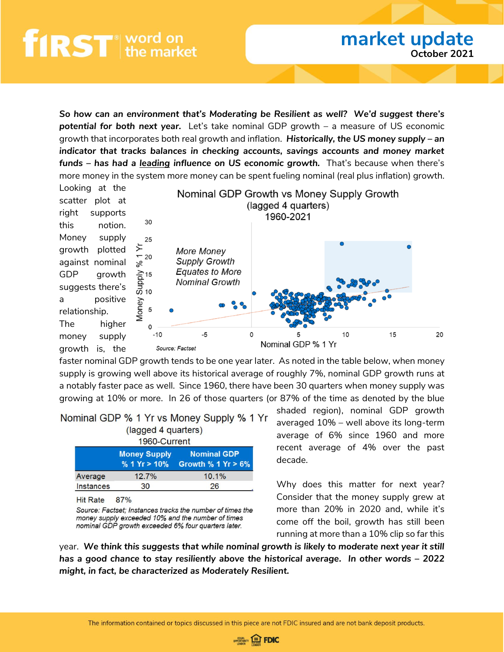*So how can an environment that's Moderating be Resilient as well? We'd suggest there's potential for both next year.* Let's take nominal GDP growth – a measure of US economic growth that incorporates both real growth and inflation. *Historically, the US money supply – an indicator that tracks balances in checking accounts, savings accounts and money market funds – has had a leading influence on US economic growth.* That's because when there's more money in the system more money can be spent fueling nominal (real plus inflation) growth.



faster nominal GDP growth tends to be one year later. As noted in the table below, when money supply is growing well above its historical average of roughly 7%, nominal GDP growth runs at a notably faster pace as well. Since 1960, there have been 30 quarters when money supply was growing at 10% or more. In 26 of those quarters (or 87% of the time as denoted by the blue

| Nominal GDP % 1 Yr vs Money Supply % 1 Yr |  |  |                                |  |  |  |
|-------------------------------------------|--|--|--------------------------------|--|--|--|
|                                           |  |  | $($ loggod $\Lambda$ guartoro) |  |  |  |

|                  | (lagged 4 guarters)                   |                                             |  |  |  |
|------------------|---------------------------------------|---------------------------------------------|--|--|--|
|                  | 1960-Current                          |                                             |  |  |  |
|                  | <b>Money Supply</b><br>% 1 $Yr > 10%$ | <b>Nominal GDP</b><br>Growth $\%$ 1 Yr > 6% |  |  |  |
| Average          | 12.7%                                 | 10.1%                                       |  |  |  |
| <b>Instances</b> | 30                                    | 26                                          |  |  |  |

**Hit Rate** 87%

Source: Factset; Instances tracks the number of times the money supply exceeded 10% and the number of times nominal GDP growth exceeded 6% four quarters later.

shaded region), nominal GDP growth averaged 10% – well above its long-term average of 6% since 1960 and more recent average of 4% over the past decade.

**market update**

**October 2021**

Why does this matter for next year? Consider that the money supply grew at more than 20% in 2020 and, while it's come off the boil, growth has still been running at more than a 10% clip so far this

year. *We think this suggests that while nominal growth is likely to moderate next year it still has a good chance to stay resiliently above the historical average. In other words – 2022 might, in fact, be characterized as Moderately Resilient.*

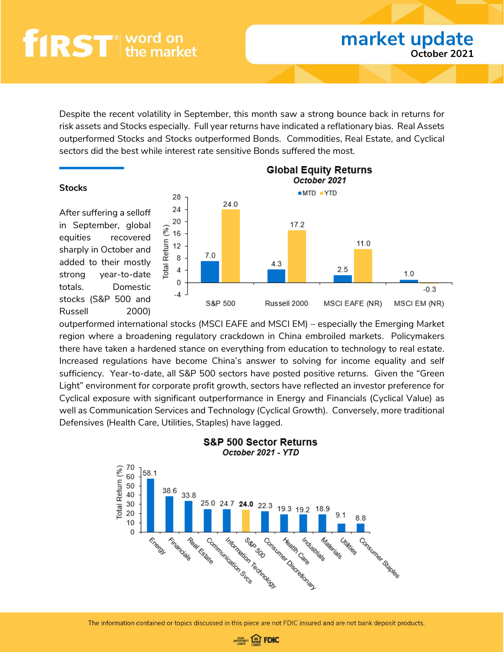Despite the recent volatility in September, this month saw a strong bounce back in returns for risk assets and Stocks especially. Full year returns have indicated a reflationary bias. Real Assets outperformed Stocks and Stocks outperformed Bonds. Commodities, Real Estate, and Cyclical sectors did the best while interest rate sensitive Bonds suffered the most.

#### **Stocks**

After suffering a selloff in September, global equities recovered sharply in October and added to their mostly strong year-to-date totals. Domestic stocks (S&P 500 and Russell 2000)



**market update**

**October 2021**

outperformed international stocks (MSCI EAFE and MSCI EM) – especially the Emerging Market region where a broadening regulatory crackdown in China embroiled markets. Policymakers there have taken a hardened stance on everything from education to technology to real estate. Increased regulations have become China's answer to solving for income equality and self sufficiency. Year-to-date, all S&P 500 sectors have posted positive returns. Given the "Green Light" environment for corporate profit growth, sectors have reflected an investor preference for Cyclical exposure with significant outperformance in Energy and Financials (Cyclical Value) as well as Communication Services and Technology (Cyclical Growth). Conversely, more traditional Defensives (Health Care, Utilities, Staples) have lagged.



#### S&P 500 Sector Returns October 2021 - YTD

The information contained or topics discussed in this piece are not FDIC insured and are not bank deposit products.

**OPPORTUNITY EDFOIC**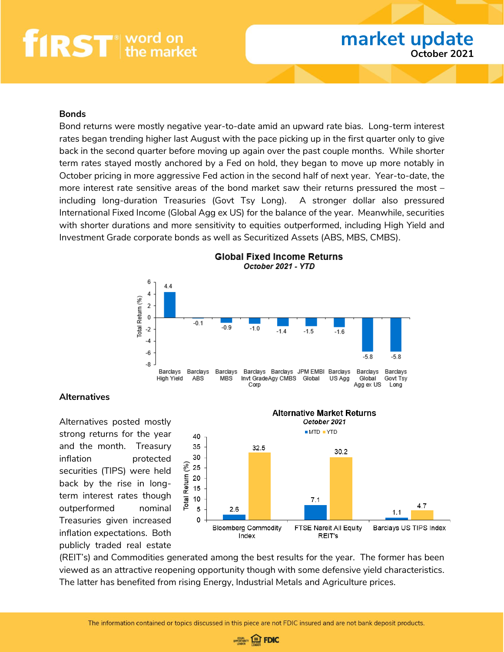#### **Bonds**

Bond returns were mostly negative year-to-date amid an upward rate bias. Long-term interest rates began trending higher last August with the pace picking up in the first quarter only to give back in the second quarter before moving up again over the past couple months. While shorter term rates stayed mostly anchored by a Fed on hold, they began to move up more notably in October pricing in more aggressive Fed action in the second half of next year. Year-to-date, the more interest rate sensitive areas of the bond market saw their returns pressured the most – including long-duration Treasuries (Govt Tsy Long). A stronger dollar also pressured International Fixed Income (Global Agg ex US) for the balance of the year. Meanwhile, securities with shorter durations and more sensitivity to equities outperformed, including High Yield and Investment Grade corporate bonds as well as Securitized Assets (ABS, MBS, CMBS).



#### **Global Fixed Income Returns** October 2021 - YTD

#### **Alternatives**

Alternatives posted mostly strong returns for the year and the month. Treasury inflation **protected** securities (TIPS) were held back by the rise in longterm interest rates though outperformed nominal Treasuries given increased inflation expectations. Both publicly traded real estate



(REIT's) and Commodities generated among the best results for the year. The former has been viewed as an attractive reopening opportunity though with some defensive yield characteristics. The latter has benefited from rising Energy, Industrial Metals and Agriculture prices.

The information contained or topics discussed in this piece are not FDIC insured and are not bank deposit products.

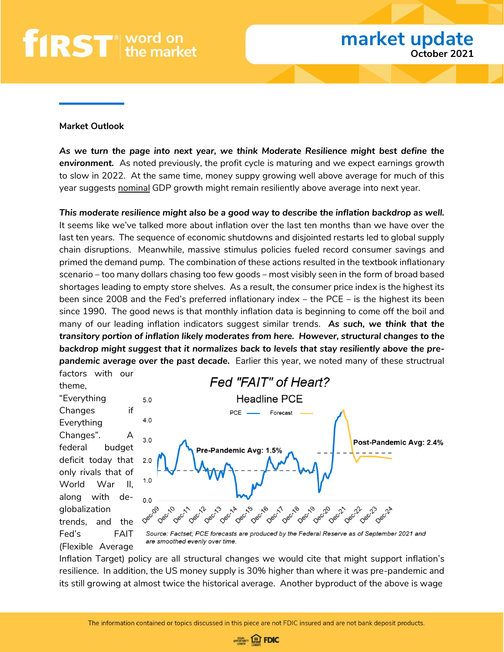#### **Market Outlook**

(Flexible Average

*As we turn the page into next year, we think Moderate Resilience might best define the environment.* As noted previously, the profit cycle is maturing and we expect earnings growth to slow in 2022. At the same time, money suppy growing well above average for much of this year suggests nominal GDP growth might remain resiliently above average into next year.

*This moderate resilience might also be a good way to describe the inflation backdrop as well.* It seems like we've talked more about inflation over the last ten months than we have over the last ten years. The sequence of economic shutdowns and disjointed restarts led to global supply chain disruptions. Meanwhile, massive stimulus policies fueled record consumer savings and primed the demand pump. The combination of these actions resulted in the textbook inflationary scenario – too many dollars chasing too few goods – most visibly seen in the form of broad based shortages leading to empty store shelves. As a result, the consumer price index is the highest its been since 2008 and the Fed's preferred inflationary index – the PCE – is the highest its been since 1990. The good news is that monthly inflation data is beginning to come off the boil and many of our leading inflation indicators suggest similar trends. *As such, we think that the transitory portion of inflation likely moderates from here. However, structural changes to the backdrop might suggest that it normalizes back to levels that stay resiliently above the prepandemic average over the past decade.* Earlier this year, we noted many of these structrual



Inflation Target) policy are all structural changes we would cite that might support inflation's resilience. In addition, the US money supply is 30% higher than where it was pre-pandemic and its still growing at almost twice the historical average. Another byproduct of the above is wage

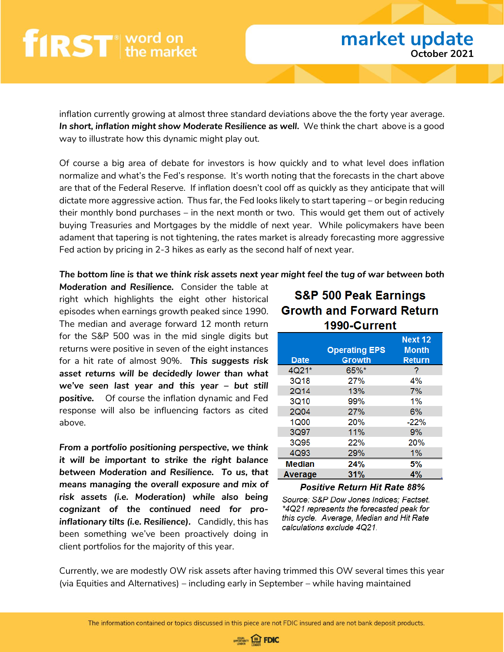inflation currently growing at almost three standard deviations above the the forty year average. *In short, inflation might show Moderate Resilience as well.* We think the chart above is a good way to illustrate how this dynamic might play out.

Of course a big area of debate for investors is how quickly and to what level does inflation normalize and what's the Fed's response. It's worth noting that the forecasts in the chart above are that of the Federal Reserve. If inflation doesn't cool off as quickly as they anticipate that will dictate more aggressive action. Thus far, the Fed looks likely to start tapering – or begin reducing their monthly bond purchases – in the next month or two. This would get them out of actively buying Treasuries and Mortgages by the middle of next year. While policymakers have been adament that tapering is not tightening, the rates market is already forecasting more aggressive Fed action by pricing in 2-3 hikes as early as the second half of next year.

#### *The bottom line is that we think risk assets next year might feel the tug of war between both*

*Moderation and Resilience.* Consider the table at right which highlights the eight other historical episodes when earnings growth peaked since 1990. The median and average forward 12 month return for the S&P 500 was in the mid single digits but returns were positive in seven of the eight instances for a hit rate of almost 90%. *This suggests risk asset returns will be decidedly lower than what we've seen last year and this year – but still positive.* Of course the inflation dynamic and Fed response will also be influencing factors as cited above.

*From a portfolio positioning perspective, we think it will be important to strike the right balance between Moderation and Resilience. To us, that means managing the overall exposure and mix of risk assets (i.e. Moderation) while also being cognizant of the continued need for proinflationary tilts (i.e. Resilience).* Candidly, this has been something we've been proactively doing in client portfolios for the majority of this year.

### **S&P 500 Peak Earnings Growth and Forward Return** 1990-Current

|               | <b>Operating EPS</b> | Next 12<br><b>Month</b> |
|---------------|----------------------|-------------------------|
| <b>Date</b>   | <b>Growth</b>        | <b>Return</b>           |
| $4Q21*$       | $65\%$ *             | 7                       |
| 3Q18          | <b>27%</b>           | 4%                      |
| <b>2Q14</b>   | 13%                  | 7%                      |
| 3Q10          | 99%                  | 1%                      |
| 2Q04          | 27%                  | 6%                      |
| <b>1Q00</b>   | <b>20%</b>           | $-22%$                  |
| 3Q97          | 11%                  | 9%                      |
| 3Q95          | 22%                  | 20%                     |
| 4Q93          | 29%                  | 1%                      |
| <b>Median</b> | 24%                  | 5%                      |
| Average       | 31%                  | 4%                      |

#### **Positive Return Hit Rate 88%**

Source: S&P Dow Jones Indices: Factset. \*4Q21 represents the forecasted peak for this cycle. Average, Median and Hit Rate calculations exclude 4Q21.

Currently, we are modestly OW risk assets after having trimmed this OW several times this year (via Equities and Alternatives) – including early in September – while having maintained